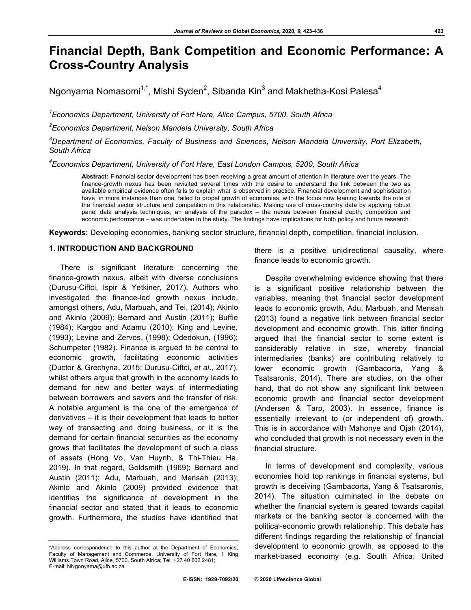# **Financial Depth, Bank Competition and Economic Performance: A Cross-Country Analysis**

Ngonyama Nomasomi $^{1,*}$ , Mishi Syden $^2$ , Sibanda Kin $^3$  and Makhetha-Kosi Palesa $^4$ 

*1 Economics Department, University of Fort Hare, Alice Campus, 5700, South Africa*

*2 Economics Department, Nelson Mandela University, South Africa*

*3 Department of Economics, Faculty of Business and Sciences, Nelson Mandela University, Port Elizabeth, South Africa*

*4 Economics Department, University of Fort Hare, East London Campus, 5200, South Africa*

**Abstract:** Financial sector development has been receiving a great amount of attention in literature over the years. The finance-growth nexus has been revisited several times with the desire to understand the link between the two as available empirical evidence often fails to explain what is observed in practice. Financial development and sophistication have, in more instances than one, failed to propel growth of economies, with the focus now leaning towards the role of the financial sector structure and competition in this relationship. Making use of cross-country data by applying robust panel data analysis techniques, an analysis of the paradox – the nexus between financial depth, competition and economic performance – was undertaken in the study. The findings have implications for both policy and future research.

**Keywords:** Developing economies, banking sector structure, financial depth, competition, financial inclusion.

## **1. INTRODUCTION AND BACKGROUND**

There is significant literature concerning the finance-growth nexus, albeit with diverse conclusions (Durusu-Ciftci, Ispir & Yetkiner, 2017). Authors who investigated the finance-led growth nexus include, amongst others, Adu, Marbuah, and Tei, (2014); Akinlo and Akinlo (2009); Bernard and Austin (2011); Buffie (1984); Kargbo and Adamu (2010); King and Levine, (1993); Levine and Zervos, (1998); Odedokun, (1996); Schumpeter (1982). Finance is argued to be central to economic growth, facilitating economic activities (Ductor & Grechyna, 2015; Durusu-Ciftci, *et al*., 2017), whilst others argue that growth in the economy leads to demand for new and better ways of intermediating between borrowers and savers and the transfer of risk. A notable argument is the one of the emergence of derivatives – it is their development that leads to better way of transacting and doing business, or it is the demand for certain financial securities as the economy grows that facilitates the development of such a class of assets (Hong Vo, Van Huynh, & Thi-Thieu Ha, 2019). In that regard, Goldsmith (1969); Bernard and Austin (2011); Adu, Marbuah, and Mensah (2013); Akinlo and Akinlo (2009) provided evidence that identifies the significance of development in the financial sector and stated that it leads to economic growth. Furthermore, the studies have identified that

there is a positive unidirectional causality, where finance leads to economic growth.

Despite overwhelming evidence showing that there is a significant positive relationship between the variables, meaning that financial sector development leads to economic growth, Adu, Marbuah, and Mensah (2013) found a negative link between financial sector development and economic growth. This latter finding argued that the financial sector to some extent is considerably relative in size, whereby financial intermediaries (banks) are contributing relatively to lower economic growth (Gambacorta, Yang & Tsatsaronis, 2014). There are studies, on the other hand, that do not show any significant link between economic growth and financial sector development (Andersen & Tarp, 2003). In essence, finance is essentially irrelevant to (or independent of) growth. This is in accordance with Mahonye and Ojah (2014), who concluded that growth is not necessary even in the financial structure.

In terms of development and complexity, various economies hold top rankings in financial systems, but growth is deceiving (Gambacorta, Yang & Tsatsaronis, 2014). The situation culminated in the debate on whether the financial system is geared towards capital markets or the banking sector is concerned with the political-economic growth relationship. This debate has different findings regarding the relationship of financial development to economic growth, as opposed to the market-based economy (e.g. South Africa; United

<sup>\*</sup>Address correspondence to this author at the Department of Economics, Faculty of Management and Commerce, University of Fort Hare, 1 King Williams Town Road, Alice, 5700, South Africa; Tel: +27 40 602 2481; E-mail: NNgonyama@ufh.ac.za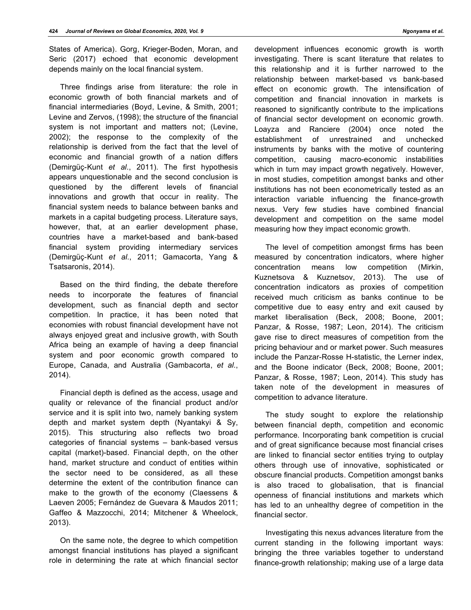States of America). Gorg, Krieger-Boden, Moran, and Seric (2017) echoed that economic development depends mainly on the local financial system.

Three findings arise from literature: the role in economic growth of both financial markets and of financial intermediaries (Boyd, Levine, & Smith, 2001; Levine and Zervos, (1998); the structure of the financial system is not important and matters not; (Levine, 2002); the response to the complexity of the relationship is derived from the fact that the level of economic and financial growth of a nation differs (Demirgüç-Kunt *et al*., 2011). The first hypothesis appears unquestionable and the second conclusion is questioned by the different levels of financial innovations and growth that occur in reality. The financial system needs to balance between banks and markets in a capital budgeting process. Literature says, however, that, at an earlier development phase, countries have a market-based and bank-based financial system providing intermediary services (Demirgüç-Kunt *et al*., 2011; Gamacorta, Yang & Tsatsaronis, 2014).

Based on the third finding, the debate therefore needs to incorporate the features of financial development, such as financial depth and sector competition. In practice, it has been noted that economies with robust financial development have not always enjoyed great and inclusive growth, with South Africa being an example of having a deep financial system and poor economic growth compared to Europe, Canada, and Australia (Gambacorta, *et al*., 2014).

Financial depth is defined as the access, usage and quality or relevance of the financial product and/or service and it is split into two, namely banking system depth and market system depth (Nyantakyi & Sy, 2015). This structuring also reflects two broad categories of financial systems – bank-based versus capital (market)-based. Financial depth, on the other hand, market structure and conduct of entities within the sector need to be considered, as all these determine the extent of the contribution finance can make to the growth of the economy (Claessens & Laeven 2005; Fernández de Guevara & Maudos 2011; Gaffeo & Mazzocchi, 2014; Mitchener & Wheelock, 2013).

On the same note, the degree to which competition amongst financial institutions has played a significant role in determining the rate at which financial sector development influences economic growth is worth investigating. There is scant literature that relates to this relationship and it is further narrowed to the relationship between market-based vs bank-based effect on economic growth. The intensification of competition and financial innovation in markets is reasoned to significantly contribute to the implications of financial sector development on economic growth. Loayza and Ranciere (2004) once noted the establishment of unrestrained and unchecked instruments by banks with the motive of countering competition, causing macro-economic instabilities which in turn may impact growth negatively. However, in most studies, competition amongst banks and other institutions has not been econometrically tested as an interaction variable influencing the finance-growth nexus. Very few studies have combined financial development and competition on the same model measuring how they impact economic growth.

The level of competition amongst firms has been measured by concentration indicators, where higher concentration means low competition (Mirkin, Kuznetsova & Kuznetsov, 2013). The use of concentration indicators as proxies of competition received much criticism as banks continue to be competitive due to easy entry and exit caused by market liberalisation (Beck, 2008; Boone, 2001; Panzar, & Rosse, 1987; Leon, 2014). The criticism gave rise to direct measures of competition from the pricing behaviour and or market power. Such measures include the Panzar-Rosse H-statistic, the Lerner index, and the Boone indicator (Beck, 2008; Boone, 2001; Panzar, & Rosse, 1987; Leon, 2014). This study has taken note of the development in measures of competition to advance literature.

The study sought to explore the relationship between financial depth, competition and economic performance. Incorporating bank competition is crucial and of great significance because most financial crises are linked to financial sector entities trying to outplay others through use of innovative, sophisticated or obscure financial products. Competition amongst banks is also traced to globalisation, that is financial openness of financial institutions and markets which has led to an unhealthy degree of competition in the financial sector.

Investigating this nexus advances literature from the current standing in the following important ways: bringing the three variables together to understand finance-growth relationship; making use of a large data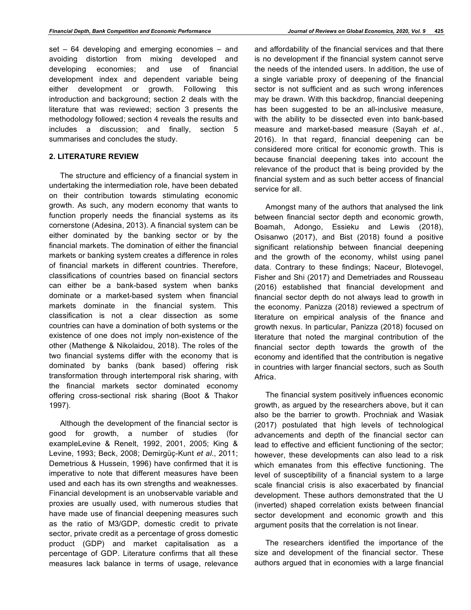set – 64 developing and emerging economies – and avoiding distortion from mixing developed and developing economies; and use of financial development index and dependent variable being either development or growth. Following this introduction and background; section 2 deals with the literature that was reviewed; section 3 presents the methodology followed; section 4 reveals the results and includes a discussion; and finally, section 5 summarises and concludes the study.

#### **2. LITERATURE REVIEW**

The structure and efficiency of a financial system in undertaking the intermediation role, have been debated on their contribution towards stimulating economic growth. As such, any modern economy that wants to function properly needs the financial systems as its cornerstone (Adesina, 2013). A financial system can be either dominated by the banking sector or by the financial markets. The domination of either the financial markets or banking system creates a difference in roles of financial markets in different countries. Therefore, classifications of countries based on financial sectors can either be a bank-based system when banks dominate or a market-based system when financial markets dominate in the financial system. This classification is not a clear dissection as some countries can have a domination of both systems or the existence of one does not imply non-existence of the other (Mathenge & Nikolaidou, 2018). The roles of the two financial systems differ with the economy that is dominated by banks (bank based) offering risk transformation through intertemporal risk sharing, with the financial markets sector dominated economy offering cross-sectional risk sharing (Boot & Thakor 1997).

Although the development of the financial sector is good for growth, a number of studies (for exampleLevine & Renelt, 1992, 2001, 2005; King & Levine, 1993; Beck, 2008; Demirgüç-Kunt *et al*., 2011; Demetrious & Hussein, 1996) have confirmed that it is imperative to note that different measures have been used and each has its own strengths and weaknesses. Financial development is an unobservable variable and proxies are usually used, with numerous studies that have made use of financial deepening measures such as the ratio of M3/GDP, domestic credit to private sector, private credit as a percentage of gross domestic product (GDP) and market capitalisation as a percentage of GDP. Literature confirms that all these measures lack balance in terms of usage, relevance

and affordability of the financial services and that there is no development if the financial system cannot serve the needs of the intended users. In addition, the use of a single variable proxy of deepening of the financial sector is not sufficient and as such wrong inferences may be drawn. With this backdrop, financial deepening has been suggested to be an all-inclusive measure, with the ability to be dissected even into bank-based measure and market-based measure (Sayah *et al*., 2016). In that regard, financial deepening can be considered more critical for economic growth. This is because financial deepening takes into account the relevance of the product that is being provided by the financial system and as such better access of financial service for all.

Amongst many of the authors that analysed the link between financial sector depth and economic growth, Boamah, Adongo, Essieku and Lewis (2018), Osisanwo (2017), and Bist (2018) found a positive significant relationship between financial deepening and the growth of the economy, whilst using panel data. Contrary to these findings; Naceur, Blotevogel, Fisher and Shi (2017) and Demetriades and Rousseau (2016) established that financial development and financial sector depth do not always lead to growth in the economy. Panizza (2018) reviewed a spectrum of literature on empirical analysis of the finance and growth nexus. In particular, Panizza (2018) focused on literature that noted the marginal contribution of the financial sector depth towards the growth of the economy and identified that the contribution is negative in countries with larger financial sectors, such as South Africa.

The financial system positively influences economic growth, as argued by the researchers above, but it can also be the barrier to growth. Prochniak and Wasiak (2017) postulated that high levels of technological advancements and depth of the financial sector can lead to effective and efficient functioning of the sector; however, these developments can also lead to a risk which emanates from this effective functioning. The level of susceptibility of a financial system to a large scale financial crisis is also exacerbated by financial development. These authors demonstrated that the U (inverted) shaped correlation exists between financial sector development and economic growth and this argument posits that the correlation is not linear.

The researchers identified the importance of the size and development of the financial sector. These authors argued that in economies with a large financial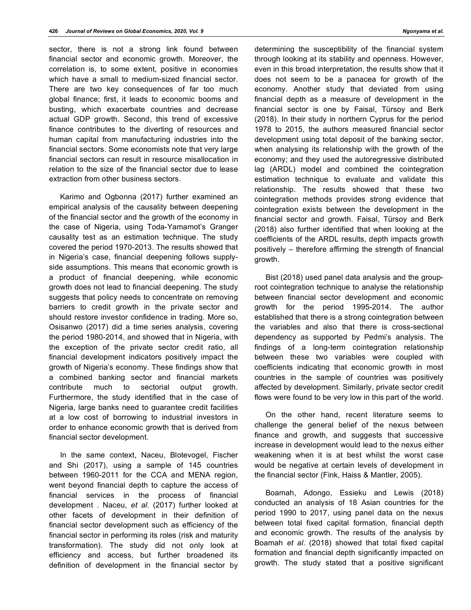sector, there is not a strong link found between financial sector and economic growth. Moreover, the correlation is, to some extent, positive in economies which have a small to medium-sized financial sector. There are two key consequences of far too much global finance; first, it leads to economic booms and busting, which exacerbate countries and decrease actual GDP growth. Second, this trend of excessive finance contributes to the diverting of resources and human capital from manufacturing industries into the financial sectors. Some economists note that very large financial sectors can result in resource misallocation in relation to the size of the financial sector due to lease extraction from other business sectors.

Karimo and Ogbonna (2017) further examined an empirical analysis of the causality between deepening of the financial sector and the growth of the economy in the case of Nigeria, using Toda-Yamamot's Granger causality test as an estimation technique. The study covered the period 1970-2013. The results showed that in Nigeria's case, financial deepening follows supplyside assumptions. This means that economic growth is a product of financial deepening, while economic growth does not lead to financial deepening. The study suggests that policy needs to concentrate on removing barriers to credit growth in the private sector and should restore investor confidence in trading. More so, Osisanwo (2017) did a time series analysis, covering the period 1980-2014, and showed that in Nigeria, with the exception of the private sector credit ratio, all financial development indicators positively impact the growth of Nigeria's economy. These findings show that a combined banking sector and financial markets contribute much to sectorial output growth. Furthermore, the study identified that in the case of Nigeria, large banks need to guarantee credit facilities at a low cost of borrowing to industrial investors in order to enhance economic growth that is derived from financial sector development.

In the same context, Naceu, Blotevogel, Fischer and Shi (2017), using a sample of 145 countries between 1960-2011 for the CCA and MENA region, went beyond financial depth to capture the access of financial services in the process of financial development . Naceu, *et al*. (2017) further looked at other facets of development in their definition of financial sector development such as efficiency of the financial sector in performing its roles (risk and maturity transformation). The study did not only look at efficiency and access, but further broadened its definition of development in the financial sector by determining the susceptibility of the financial system through looking at its stability and openness. However, even in this broad interpretation, the results show that it does not seem to be a panacea for growth of the economy. Another study that deviated from using financial depth as a measure of development in the financial sector is one by Faisal, Türsoy and Berk (2018). In their study in northern Cyprus for the period 1978 to 2015, the authors measured financial sector development using total deposit of the banking sector, when analysing its relationship with the growth of the economy; and they used the autoregressive distributed lag (ARDL) model and combined the cointegration estimation technique to evaluate and validate this relationship. The results showed that these two cointegration methods provides strong evidence that cointegration exists between the development in the financial sector and growth. Faisal, Türsoy and Berk (2018) also further identified that when looking at the coefficients of the ARDL results, depth impacts growth positively – therefore affirming the strength of financial growth.

Bist (2018) used panel data analysis and the grouproot cointegration technique to analyse the relationship between financial sector development and economic growth for the period 1995-2014. The author established that there is a strong cointegration between the variables and also that there is cross-sectional dependency as supported by Pedmi's analysis. The findings of a long-term cointegration relationship between these two variables were coupled with coefficients indicating that economic growth in most countries in the sample of countries was positively affected by development. Similarly, private sector credit flows were found to be very low in this part of the world.

On the other hand, recent literature seems to challenge the general belief of the nexus between finance and growth, and suggests that successive increase in development would lead to the nexus either weakening when it is at best whilst the worst case would be negative at certain levels of development in the financial sector (Fink, Haiss & Mantler, 2005).

Boamah, Adongo, Essieku and Lewis (2018) conducted an analysis of 18 Asian countries for the period 1990 to 2017, using panel data on the nexus between total fixed capital formation, financial depth and economic growth. The results of the analysis by Boamah *et al*. (2018) showed that total fixed capital formation and financial depth significantly impacted on growth. The study stated that a positive significant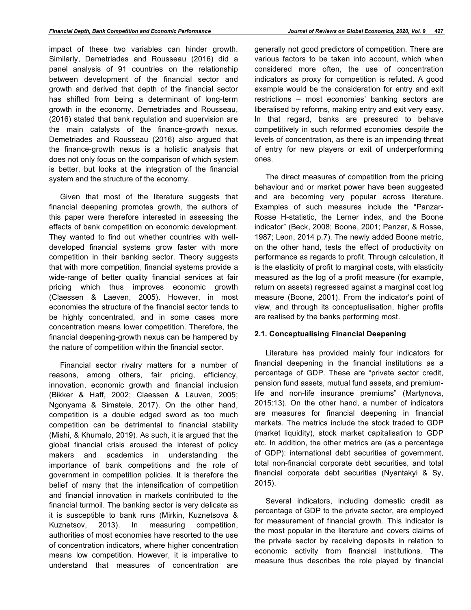impact of these two variables can hinder growth. Similarly, Demetriades and Rousseau (2016) did a panel analysis of 91 countries on the relationship between development of the financial sector and growth and derived that depth of the financial sector has shifted from being a determinant of long-term growth in the economy. Demetriades and Rousseau, (2016) stated that bank regulation and supervision are the main catalysts of the finance-growth nexus. Demetriades and Rousseau (2016) also argued that the finance-growth nexus is a holistic analysis that does not only focus on the comparison of which system is better, but looks at the integration of the financial system and the structure of the economy.

Given that most of the literature suggests that financial deepening promotes growth, the authors of this paper were therefore interested in assessing the effects of bank competition on economic development. They wanted to find out whether countries with welldeveloped financial systems grow faster with more competition in their banking sector. Theory suggests that with more competition, financial systems provide a wide-range of better quality financial services at fair pricing which thus improves economic growth (Claessen & Laeven, 2005). However, in most economies the structure of the financial sector tends to be highly concentrated, and in some cases more concentration means lower competition. Therefore, the financial deepening-growth nexus can be hampered by the nature of competition within the financial sector.

Financial sector rivalry matters for a number of reasons, among others, fair pricing, efficiency, innovation, economic growth and financial inclusion (Bikker & Haff, 2002; Claessen & Lauven, 2005; Ngonyama & Simatele, 2017). On the other hand, competition is a double edged sword as too much competition can be detrimental to financial stability (Mishi, & Khumalo, 2019). As such, it is argued that the global financial crisis aroused the interest of policy makers and academics in understanding the importance of bank competitions and the role of government in competition policies. It is therefore the belief of many that the intensification of competition and financial innovation in markets contributed to the financial turmoil. The banking sector is very delicate as it is susceptible to bank runs (Mirkin, Kuznetsova & Kuznetsov, 2013). In measuring competition, authorities of most economies have resorted to the use of concentration indicators, where higher concentration means low competition. However, it is imperative to understand that measures of concentration are

generally not good predictors of competition. There are various factors to be taken into account, which when considered more often, the use of concentration indicators as proxy for competition is refuted. A good example would be the consideration for entry and exit restrictions – most economies' banking sectors are liberalised by reforms, making entry and exit very easy. In that regard, banks are pressured to behave competitively in such reformed economies despite the levels of concentration, as there is an impending threat of entry for new players or exit of underperforming ones.

The direct measures of competition from the pricing behaviour and or market power have been suggested and are becoming very popular across literature. Examples of such measures include the "Panzar-Rosse H-statistic, the Lerner index, and the Boone indicator" (Beck, 2008; Boone, 2001; Panzar, & Rosse, 1987; Leon, 2014 p.7). The newly added Boone metric, on the other hand, tests the effect of productivity on performance as regards to profit. Through calculation, it is the elasticity of profit to marginal costs, with elasticity measured as the log of a profit measure (for example, return on assets) regressed against a marginal cost log measure (Boone, 2001). From the indicator's point of view, and through its conceptualisation, higher profits are realised by the banks performing most.

#### **2.1. Conceptualising Financial Deepening**

Literature has provided mainly four indicators for financial deepening in the financial institutions as a percentage of GDP. These are "private sector credit, pension fund assets, mutual fund assets, and premiumlife and non-life insurance premiums" (Martynova, 2015:13). On the other hand, a number of indicators are measures for financial deepening in financial markets. The metrics include the stock traded to GDP (market liquidity), stock market capitalisation to GDP etc. In addition, the other metrics are (as a percentage of GDP): international debt securities of government, total non-financial corporate debt securities, and total financial corporate debt securities (Nyantakyi & Sy, 2015).

Several indicators, including domestic credit as percentage of GDP to the private sector, are employed for measurement of financial growth. This indicator is the most popular in the literature and covers claims of the private sector by receiving deposits in relation to economic activity from financial institutions. The measure thus describes the role played by financial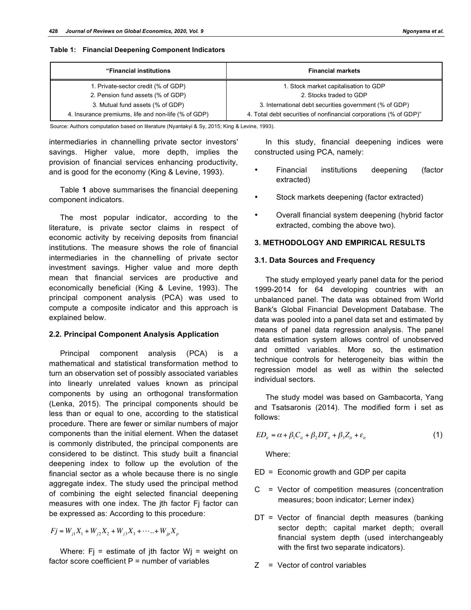**Table 1: Financial Deepening Component Indicators**

| "Financial institutions"                            | <b>Financial markets</b>                                          |  |  |
|-----------------------------------------------------|-------------------------------------------------------------------|--|--|
| 1. Private-sector credit (% of GDP)                 | 1. Stock market capitalisation to GDP                             |  |  |
| 2. Pension fund assets (% of GDP)                   | 2. Stocks traded to GDP                                           |  |  |
| 3. Mutual fund assets (% of GDP)                    | 3. International debt securities government (% of GDP)            |  |  |
| 4. Insurance premiums, life and non-life (% of GDP) | 4. Total debt securities of nonfinancial corporations (% of GDP)" |  |  |

Source: Authors computation based on literature (Nyantakyi & Sy, 2015; King & Levine, 1993).

intermediaries in channelling private sector investors' savings. Higher value, more depth, implies the provision of financial services enhancing productivity, and is good for the economy (King & Levine, 1993).

Table **1** above summarises the financial deepening component indicators.

The most popular indicator, according to the literature, is private sector claims in respect of economic activity by receiving deposits from financial institutions. The measure shows the role of financial intermediaries in the channelling of private sector investment savings. Higher value and more depth mean that financial services are productive and economically beneficial (King & Levine, 1993). The principal component analysis (PCA) was used to compute a composite indicator and this approach is explained below.

#### **2.2. Principal Component Analysis Application**

Principal component analysis (PCA) is a mathematical and statistical transformation method to turn an observation set of possibly associated variables into linearly unrelated values known as principal components by using an orthogonal transformation (Lenka, 2015). The principal components should be less than or equal to one, according to the statistical procedure. There are fewer or similar numbers of major components than the initial element. When the dataset is commonly distributed, the principal components are considered to be distinct. This study built a financial deepening index to follow up the evolution of the financial sector as a whole because there is no single aggregate index. The study used the principal method of combining the eight selected financial deepening measures with one index. The jth factor Fj factor can be expressed as: According to this procedure:

 $Fj = W_{i1}X_1 + W_{i2}X_2 + W_{i3}X_3 + \cdots + W_{ip}X_p$ 

Where:  $Fi =$  estimate of jth factor  $Wj =$  weight on factor score coefficient  $P =$  number of variables

In this study, financial deepening indices were constructed using PCA, namely:

- Financial institutions deepening (factor extracted)
- Stock markets deepening (factor extracted)
- Overall financial system deepening (hybrid factor extracted, combing the above two).

#### **3. METHODOLOGY AND EMPIRICAL RESULTS**

#### **3.1. Data Sources and Frequency**

The study employed yearly panel data for the period 1999-2014 for 64 developing countries with an unbalanced panel. The data was obtained from World Bank's Global Financial Development Database. The data was pooled into a panel data set and estimated by means of panel data regression analysis. The panel data estimation system allows control of unobserved and omitted variables. More so, the estimation technique controls for heterogeneity bias within the regression model as well as within the selected individual sectors.

The study model was based on Gambacorta, Yang and Tsatsaronis (2014). The modified form i set as follows:

$$
ED_{it} = \alpha + \beta_1 C_{it} + \beta_2 DT_{it} + \beta_3 Z_{it} + \varepsilon_{it}
$$
\n(1)

Where:

ED = Economic growth and GDP per capita

- C = Vector of competition measures (concentration measures; boon indicator; Lerner index)
- DT = Vector of financial depth measures (banking sector depth; capital market depth; overall financial system depth (used interchangeably with the first two separate indicators).
- Z = Vector of control variables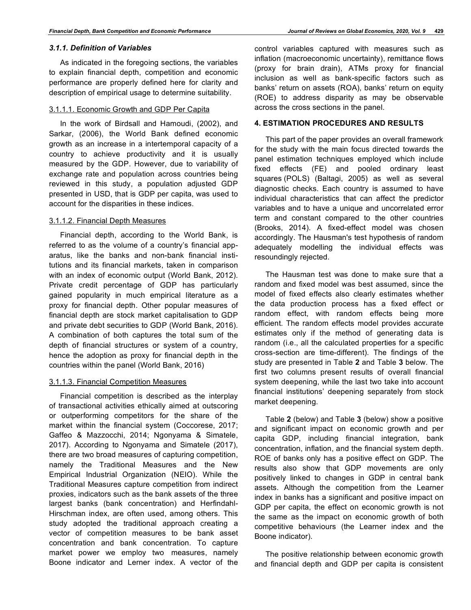#### *3.1.1. Definition of Variables*

As indicated in the foregoing sections, the variables to explain financial depth, competition and economic performance are properly defined here for clarity and description of empirical usage to determine suitability.

#### 3.1.1.1. Economic Growth and GDP Per Capita

In the work of Birdsall and Hamoudi, (2002), and Sarkar, (2006), the World Bank defined economic growth as an increase in a intertemporal capacity of a country to achieve productivity and it is usually measured by the GDP. However, due to variability of exchange rate and population across countries being reviewed in this study, a population adjusted GDP presented in USD, that is GDP per capita, was used to account for the disparities in these indices.

#### 3.1.1.2. Financial Depth Measures

Financial depth, according to the World Bank, is referred to as the volume of a country's financial apparatus, like the banks and non-bank financial institutions and its financial markets, taken in comparison with an index of economic output (World Bank, 2012). Private credit percentage of GDP has particularly gained popularity in much empirical literature as a proxy for financial depth. Other popular measures of financial depth are stock market capitalisation to GDP and private debt securities to GDP (World Bank, 2016). A combination of both captures the total sum of the depth of financial structures or system of a country, hence the adoption as proxy for financial depth in the countries within the panel (World Bank, 2016)

# 3.1.1.3. Financial Competition Measures

Financial competition is described as the interplay of transactional activities ethically aimed at outscoring or outperforming competitors for the share of the market within the financial system (Coccorese, 2017; Gaffeo & Mazzocchi, 2014; Ngonyama & Simatele, 2017). According to Ngonyama and Simatele (2017), there are two broad measures of capturing competition, namely the Traditional Measures and the New Empirical Industrial Organization (NEIO). While the Traditional Measures capture competition from indirect proxies, indicators such as the bank assets of the three largest banks (bank concentration) and Herfindahl-Hirschman index, are often used, among others. This study adopted the traditional approach creating a vector of competition measures to be bank asset concentration and bank concentration. To capture market power we employ two measures, namely Boone indicator and Lerner index. A vector of the control variables captured with measures such as inflation (macroeconomic uncertainty), remittance flows (proxy for brain drain), ATMs proxy for financial inclusion as well as bank-specific factors such as banks' return on assets (ROA), banks' return on equity (ROE) to address disparity as may be observable across the cross sections in the panel.

# **4. ESTIMATION PROCEDURES AND RESULTS**

This part of the paper provides an overall framework for the study with the main focus directed towards the panel estimation techniques employed which include fixed effects (FE) and pooled ordinary least squares (POLS) (Baltagi, 2005) as well as several diagnostic checks. Each country is assumed to have individual characteristics that can affect the predictor variables and to have a unique and uncorrelated error term and constant compared to the other countries (Brooks, 2014). A fixed-effect model was chosen accordingly. The Hausman's test hypothesis of random adequately modelling the individual effects was resoundingly rejected.

The Hausman test was done to make sure that a random and fixed model was best assumed, since the model of fixed effects also clearly estimates whether the data production process has a fixed effect or random effect, with random effects being more efficient. The random effects model provides accurate estimates only if the method of generating data is random (i.e., all the calculated properties for a specific cross-section are time-different). The findings of the study are presented in Table **2** and Table **3** below. The first two columns present results of overall financial system deepening, while the last two take into account financial institutions' deepening separately from stock market deepening.

Table **2** (below) and Table **3** (below) show a positive and significant impact on economic growth and per capita GDP, including financial integration, bank concentration, inflation, and the financial system depth. ROE of banks only has a positive effect on GDP. The results also show that GDP movements are only positively linked to changes in GDP in central bank assets. Although the competition from the Learner index in banks has a significant and positive impact on GDP per capita, the effect on economic growth is not the same as the impact on economic growth of both competitive behaviours (the Learner index and the Boone indicator).

The positive relationship between economic growth and financial depth and GDP per capita is consistent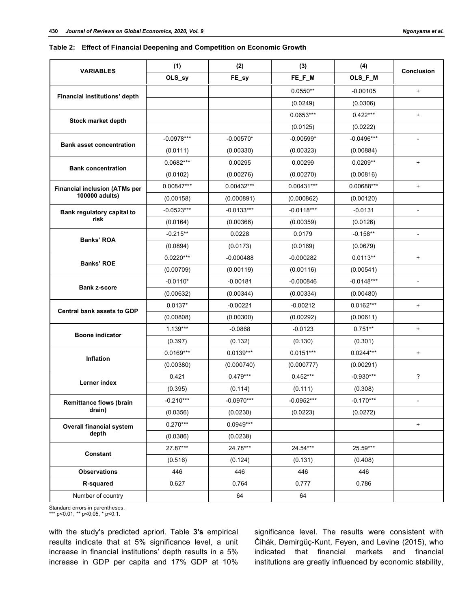#### **Table 2: Effect of Financial Deepening and Competition on Economic Growth**

| <b>VARIABLES</b>                                       | (1)          | (2)          | (3)          | (4)          | Conclusion               |  |
|--------------------------------------------------------|--------------|--------------|--------------|--------------|--------------------------|--|
|                                                        | OLS_sy       | FE_sy        | FE_F_M       | OLS_F_M      |                          |  |
| Financial institutions' depth                          |              |              | $0.0550**$   | $-0.00105$   | $\ddot{}$                |  |
|                                                        |              |              | (0.0249)     | (0.0306)     |                          |  |
|                                                        |              |              | $0.0653***$  | $0.422***$   | $\ddot{}$                |  |
| Stock market depth                                     |              |              | (0.0125)     | (0.0222)     |                          |  |
|                                                        | $-0.0978***$ | $-0.00570*$  | $-0.00599*$  | $-0.0496***$ | $\overline{\phantom{a}}$ |  |
| <b>Bank asset concentration</b>                        | (0.0111)     | (0.00330)    | (0.00323)    | (0.00884)    |                          |  |
| <b>Bank concentration</b>                              | 0.0682***    | 0.00295      | 0.00299      | $0.0209**$   | $\ddot{}$                |  |
|                                                        | (0.0102)     | (0.00276)    | (0.00270)    | (0.00816)    |                          |  |
| <b>Financial inclusion (ATMs per</b><br>100000 adults) | 0.00847***   | $0.00432***$ | $0.00431***$ | 0.00688***   | $\ddot{}$                |  |
|                                                        | (0.00158)    | (0.000891)   | (0.000862)   | (0.00120)    |                          |  |
| Bank regulatory capital to                             | $-0.0523***$ | $-0.0133***$ | $-0.0118***$ | $-0.0131$    |                          |  |
| risk                                                   | (0.0164)     | (0.00366)    | (0.00359)    | (0.0126)     |                          |  |
| Banks' ROA                                             | $-0.215**$   | 0.0228       | 0.0179       | $-0.158**$   |                          |  |
|                                                        | (0.0894)     | (0.0173)     | (0.0169)     | (0.0679)     |                          |  |
| Banks' ROE                                             | $0.0220***$  | $-0.000488$  | $-0.000282$  | $0.0113**$   | $\ddot{}$                |  |
|                                                        | (0.00709)    | (0.00119)    | (0.00116)    | (0.00541)    |                          |  |
| <b>Bank z-score</b>                                    | $-0.0110*$   | $-0.00181$   | $-0.000846$  | $-0.0148***$ | $\overline{\phantom{a}}$ |  |
|                                                        | (0.00632)    | (0.00344)    | (0.00334)    | (0.00480)    |                          |  |
| <b>Central bank assets to GDP</b>                      | $0.0137*$    | $-0.00221$   | $-0.00212$   | $0.0162***$  | $\ddot{}$                |  |
|                                                        | (0.00808)    | (0.00300)    | (0.00292)    | (0.00611)    |                          |  |
| <b>Boone indicator</b>                                 | $1.139***$   | $-0.0868$    | $-0.0123$    | $0.751**$    | $\ddot{}$                |  |
|                                                        | (0.397)      | (0.132)      | (0.130)      | (0.301)      |                          |  |
| <b>Inflation</b>                                       | $0.0169***$  | $0.0139***$  | $0.0151***$  | $0.0244***$  | $\ddot{}$                |  |
|                                                        | (0.00380)    | (0.000740)   | (0.000777)   | (0.00291)    |                          |  |
| Lerner index                                           | 0.421        | $0.479***$   | $0.452***$   | $-0.930***$  | ?                        |  |
|                                                        | (0.395)      | (0.114)      | (0.111)      | (0.308)      |                          |  |
| <b>Remittance flows (brain</b>                         | $-0.210***$  | $-0.0970***$ | $-0.0952***$ | $-0.170***$  |                          |  |
| drain)                                                 | (0.0356)     | (0.0230)     | (0.0223)     | (0.0272)     |                          |  |
| Overall financial system                               | $0.270***$   | $0.0949***$  |              |              | $\ddot{}$                |  |
| depth                                                  | (0.0386)     | (0.0238)     |              |              |                          |  |
| Constant                                               | 27.87***     | 24.78***     | 24.54***     | 25.59***     |                          |  |
|                                                        | (0.516)      | (0.124)      | (0.131)      | (0.408)      |                          |  |
| <b>Observations</b>                                    | 446          | 446          | 446          | 446          |                          |  |
| R-squared                                              | 0.627        | 0.764        | 0.777        | 0.786        |                          |  |
| Number of country                                      |              | 64           | 64           |              |                          |  |

Standard errors in parentheses. \*\*\* p<0.01, \*\* p<0.05, \* p<0.1.

with the study's predicted apriori. Table **3's** empirical results indicate that at 5% significance level, a unit increase in financial institutions' depth results in a 5% increase in GDP per capita and 17% GDP at 10%

significance level. The results were consistent with Čihák, Demirgüç-Kunt, Feyen, and Levine (2015), who indicated that financial markets and financial institutions are greatly influenced by economic stability,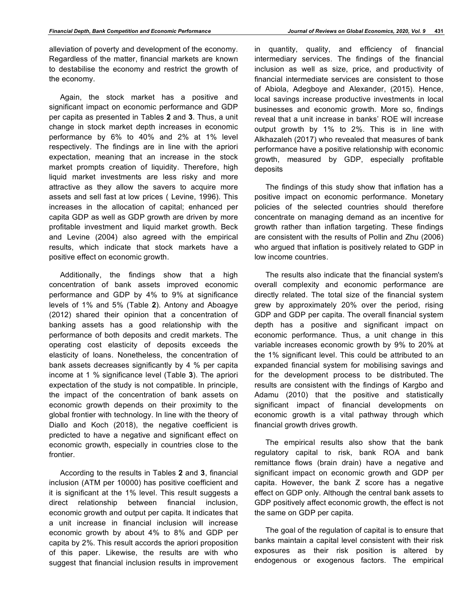alleviation of poverty and development of the economy. Regardless of the matter, financial markets are known to destabilise the economy and restrict the growth of the economy.

Again, the stock market has a positive and significant impact on economic performance and GDP per capita as presented in Tables **2** and **3**. Thus, a unit change in stock market depth increases in economic performance by 6% to 40% and 2% at 1% level respectively. The findings are in line with the apriori expectation, meaning that an increase in the stock market prompts creation of liquidity. Therefore, high liquid market investments are less risky and more attractive as they allow the savers to acquire more assets and sell fast at low prices ( Levine, 1996). This increases in the allocation of capital; enhanced per capita GDP as well as GDP growth are driven by more profitable investment and liquid market growth. Beck and Levine (2004) also agreed with the empirical results, which indicate that stock markets have a positive effect on economic growth.

Additionally, the findings show that a high concentration of bank assets improved economic performance and GDP by 4% to 9% at significance levels of 1% and 5% (Table **2**). Antony and Aboagye (2012) shared their opinion that a concentration of banking assets has a good relationship with the performance of both deposits and credit markets. The operating cost elasticity of deposits exceeds the elasticity of loans. Nonetheless, the concentration of bank assets decreases significantly by 4 % per capita income at 1 % significance level (Table **3**). The apriori expectation of the study is not compatible. In principle, the impact of the concentration of bank assets on economic growth depends on their proximity to the global frontier with technology. In line with the theory of Diallo and Koch (2018), the negative coefficient is predicted to have a negative and significant effect on economic growth, especially in countries close to the frontier.

According to the results in Tables **2** and **3**, financial inclusion (ATM per 10000) has positive coefficient and it is significant at the 1% level. This result suggests a direct relationship between financial inclusion, economic growth and output per capita. It indicates that a unit increase in financial inclusion will increase economic growth by about 4% to 8% and GDP per capita by 2%. This result accords the apriori proposition of this paper. Likewise, the results are with who suggest that financial inclusion results in improvement in quantity, quality, and efficiency of financial intermediary services. The findings of the financial inclusion as well as size, price, and productivity of financial intermediate services are consistent to those of Abiola, Adegboye and Alexander, (2015). Hence, local savings increase productive investments in local businesses and economic growth. More so, findings reveal that a unit increase in banks' ROE will increase output growth by 1% to 2%. This is in line with Alkhazaleh (2017) who revealed that measures of bank performance have a positive relationship with economic growth, measured by GDP, especially profitable deposits

The findings of this study show that inflation has a positive impact on economic performance. Monetary policies of the selected countries should therefore concentrate on managing demand as an incentive for growth rather than inflation targeting. These findings are consistent with the results of Pollin and Zhu (2006) who argued that inflation is positively related to GDP in low income countries.

The results also indicate that the financial system's overall complexity and economic performance are directly related. The total size of the financial system grew by approximately 20% over the period, rising GDP and GDP per capita. The overall financial system depth has a positive and significant impact on economic performance. Thus, a unit change in this variable increases economic growth by 9% to 20% at the 1% significant level. This could be attributed to an expanded financial system for mobilising savings and for the development process to be distributed. The results are consistent with the findings of Kargbo and Adamu (2010) that the positive and statistically significant impact of financial developments on economic growth is a vital pathway through which financial growth drives growth.

The empirical results also show that the bank regulatory capital to risk, bank ROA and bank remittance flows (brain drain) have a negative and significant impact on economic growth and GDP per capita. However, the bank Z score has a negative effect on GDP only. Although the central bank assets to GDP positively affect economic growth, the effect is not the same on GDP per capita.

The goal of the regulation of capital is to ensure that banks maintain a capital level consistent with their risk exposures as their risk position is altered by endogenous or exogenous factors. The empirical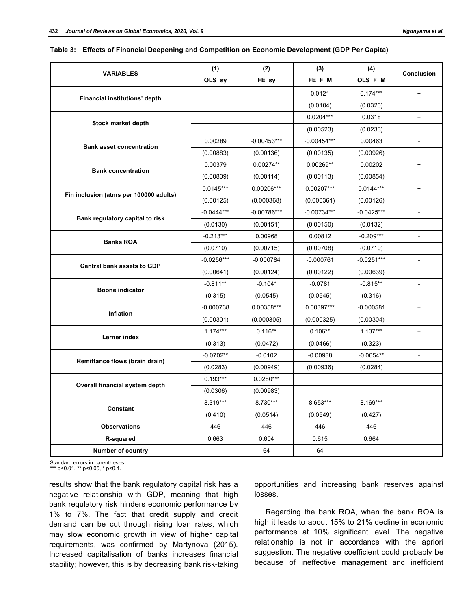| <b>VARIABLES</b>                       | (1)          | (2)           | (3)           | (4)          | Conclusion               |  |
|----------------------------------------|--------------|---------------|---------------|--------------|--------------------------|--|
|                                        | OLS_sy       | FE_sy         | FE_F_M        | OLS_F_M      |                          |  |
| Financial institutions' depth          |              |               | 0.0121        | $0.174***$   | $\ddot{}$                |  |
|                                        |              |               | (0.0104)      | (0.0320)     |                          |  |
|                                        |              |               | $0.0204***$   | 0.0318       | $\ddot{}$                |  |
| <b>Stock market depth</b>              |              |               | (0.00523)     | (0.0233)     |                          |  |
| <b>Bank asset concentration</b>        | 0.00289      | $-0.00453***$ | $-0.00454***$ | 0.00463      |                          |  |
|                                        | (0.00883)    | (0.00136)     | (0.00135)     | (0.00926)    |                          |  |
| <b>Bank concentration</b>              | 0.00379      | $0.00274**$   | $0.00269**$   | 0.00202      | $\ddot{}$                |  |
|                                        | (0.00809)    | (0.00114)     | (0.00113)     | (0.00854)    |                          |  |
| Fin inclusion (atms per 100000 adults) | $0.0145***$  | 0.00206***    | 0.00207***    | $0.0144***$  | $\ddot{}$                |  |
|                                        | (0.00125)    | (0.000368)    | (0.000361)    | (0.00126)    |                          |  |
| Bank regulatory capital to risk        | $-0.0444***$ | $-0.00786***$ | $-0.00734***$ | $-0.0425***$ | $\overline{\phantom{a}}$ |  |
|                                        | (0.0130)     | (0.00151)     | (0.00150)     | (0.0132)     |                          |  |
| <b>Banks ROA</b>                       | $-0.213***$  | 0.00968       | 0.00812       | $-0.209***$  |                          |  |
|                                        | (0.0710)     | (0.00715)     | (0.00708)     | (0.0710)     |                          |  |
| Central bank assets to GDP             | $-0.0256***$ | $-0.000784$   | $-0.000761$   | $-0.0251***$ | $\overline{a}$           |  |
|                                        | (0.00641)    | (0.00124)     | (0.00122)     | (0.00639)    |                          |  |
| <b>Boone indicator</b>                 | $-0.811**$   | $-0.104*$     | $-0.0781$     | $-0.815**$   | $\overline{\phantom{a}}$ |  |
|                                        | (0.315)      | (0.0545)      | (0.0545)      | (0.316)      |                          |  |
| Inflation                              | $-0.000738$  | 0.00358***    | $0.00397***$  | $-0.000581$  | $\ddot{}$                |  |
|                                        | (0.00301)    | (0.000305)    | (0.000325)    | (0.00304)    |                          |  |
| Lerner index                           | $1.174***$   | $0.116**$     | $0.106**$     | $1.137***$   | $\ddot{}$                |  |
|                                        | (0.313)      | (0.0472)      | (0.0466)      | (0.323)      |                          |  |
| Remittance flows (brain drain)         | $-0.0702**$  | $-0.0102$     | $-0.00988$    | $-0.0654**$  |                          |  |
|                                        | (0.0283)     | (0.00949)     | (0.00936)     | (0.0284)     |                          |  |
|                                        | $0.193***$   | $0.0280***$   |               |              | $\ddot{}$                |  |
| Overall financial system depth         | (0.0306)     | (0.00983)     |               |              |                          |  |
| Constant                               | 8.319***     | 8.730***      | 8.653***      | 8.169***     |                          |  |
|                                        | (0.410)      | (0.0514)      | (0.0549)      | (0.427)      |                          |  |
| <b>Observations</b>                    | 446          | 446           | 446           | 446          |                          |  |
| R-squared                              | 0.663        | 0.604         | 0.615         | 0.664        |                          |  |
| <b>Number of country</b>               |              | 64            | 64            |              |                          |  |

|  |  | Table 3: Effects of Financial Deepening and Competition on Economic Development (GDP Per Capita) |
|--|--|--------------------------------------------------------------------------------------------------|
|  |  |                                                                                                  |

Standard errors in parentheses.  $*$  p<0.01,  $**$  p<0.05,  $*$  p<0.1.

results show that the bank regulatory capital risk has a negative relationship with GDP, meaning that high bank regulatory risk hinders economic performance by 1% to 7%. The fact that credit supply and credit demand can be cut through rising loan rates, which may slow economic growth in view of higher capital requirements, was confirmed by Martynova (2015). Increased capitalisation of banks increases financial stability; however, this is by decreasing bank risk-taking

opportunities and increasing bank reserves against losses.

Regarding the bank ROA, when the bank ROA is high it leads to about 15% to 21% decline in economic performance at 10% significant level. The negative relationship is not in accordance with the apriori suggestion. The negative coefficient could probably be because of ineffective management and inefficient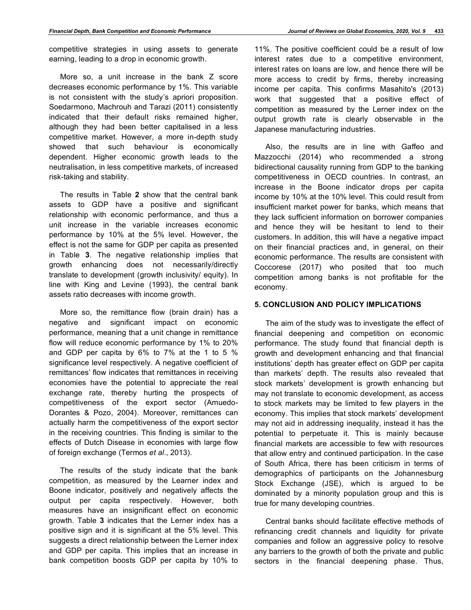competitive strategies in using assets to generate earning, leading to a drop in economic growth.

More so, a unit increase in the bank Z score decreases economic performance by 1%. This variable is not consistent with the study's apriori proposition. Soedarmono, Machrouh and Tarazi (2011) consistently indicated that their default risks remained higher, although they had been better capitalised in a less competitive market. However, a more in-depth study showed that such behaviour is economically dependent. Higher economic growth leads to the neutralisation, in less competitive markets, of increased risk-taking and stability.

The results in Table **2** show that the central bank assets to GDP have a positive and significant relationship with economic performance, and thus a unit increase in the variable increases economic performance by 10% at the 5% level. However, the effect is not the same for GDP per capita as presented in Table **3**. The negative relationship implies that growth enhancing does not necessarily/directly translate to development (growth inclusivity/ equity). In line with King and Levine (1993), the central bank assets ratio decreases with income growth.

More so, the remittance flow (brain drain) has a negative and significant impact on economic performance, meaning that a unit change in remittance flow will reduce economic performance by 1% to 20% and GDP per capita by 6% to 7% at the 1 to 5 % significance level respectively. A negative coefficient of remittances' flow indicates that remittances in receiving economies have the potential to appreciate the real exchange rate, thereby hurting the prospects of competitiveness of the export sector (Amuedo-Dorantes & Pozo, 2004). Moreover, remittances can actually harm the competitiveness of the export sector in the receiving countries. This finding is similar to the effects of Dutch Disease in economies with large flow of foreign exchange (Termos *et al*., 2013).

The results of the study indicate that the bank competition, as measured by the Learner index and Boone indicator, positively and negatively affects the output per capita respectively. However, both measures have an insignificant effect on economic growth. Table **3** indicates that the Lerner index has a positive sign and it is significant at the 5% level. This suggests a direct relationship between the Lerner index and GDP per capita. This implies that an increase in bank competition boosts GDP per capita by 10% to 11%. The positive coefficient could be a result of low interest rates due to a competitive environment, interest rates on loans are low, and hence there will be more access to credit by firms, thereby increasing income per capita. This confirms Masahito's (2013) work that suggested that a positive effect of competition as measured by the Lerner index on the output growth rate is clearly observable in the Japanese manufacturing industries.

Also, the results are in line with Gaffeo and Mazzocchi (2014) who recommended a strong bidirectional causality running from GDP to the banking competitiveness in OECD countries. In contrast, an increase in the Boone indicator drops per capita income by 10% at the 10% level. This could result from insufficient market power for banks, which means that they lack sufficient information on borrower companies and hence they will be hesitant to lend to their customers. In addition, this will have a negative impact on their financial practices and, in general, on their economic performance. The results are consistent with Coccorese (2017) who posited that too much competition among banks is not profitable for the economy.

### **5. CONCLUSION AND POLICY IMPLICATIONS**

The aim of the study was to investigate the effect of financial deepening and competition on economic performance. The study found that financial depth is growth and development enhancing and that financial institutions' depth has greater effect on GDP per capita than markets' depth. The results also revealed that stock markets' development is growth enhancing but may not translate to economic development, as access to stock markets may be limited to few players in the economy. This implies that stock markets' development may not aid in addressing inequality, instead it has the potential to perpetuate it. This is mainly because financial markets are accessible to few with resources that allow entry and continued participation. In the case of South Africa, there has been criticism in terms of demographics of participants on the Johannesburg Stock Exchange (JSE), which is argued to be dominated by a minority population group and this is true for many developing countries.

Central banks should facilitate effective methods of refinancing credit channels and liquidity for private companies and follow an aggressive policy to resolve any barriers to the growth of both the private and public sectors in the financial deepening phase. Thus,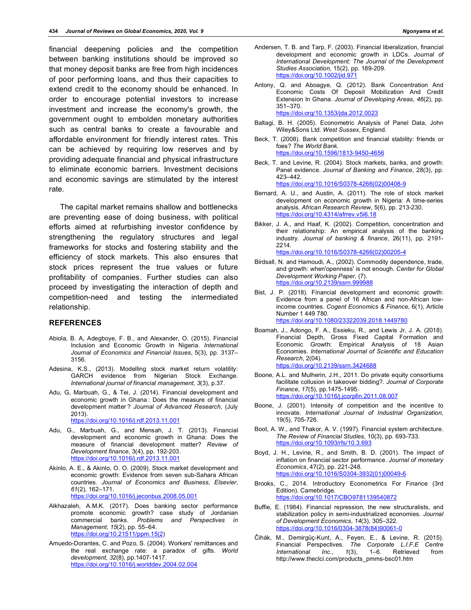financial deepening policies and the competition between banking institutions should be improved so that money deposit banks are free from high incidences of poor performing loans, and thus their capacities to extend credit to the economy should be enhanced. In order to encourage potential investors to increase investment and increase the economy's growth, the government ought to embolden monetary authorities such as central banks to create a favourable and affordable environment for friendly interest rates. This can be achieved by requiring low reserves and by providing adequate financial and physical infrastructure to eliminate economic barriers. Investment decisions and economic savings are stimulated by the interest rate.

The capital market remains shallow and bottlenecks are preventing ease of doing business, with political efforts aimed at refurbishing investor confidence by strengthening the regulatory structures and legal frameworks for stocks and fostering stability and the efficiency of stock markets. This also ensures that stock prices represent the true values or future profitability of companies. Further studies can also proceed by investigating the interaction of depth and competition-need and testing the intermediated relationship.

#### **REFERENCES**

- Abiola, B. A, Adegboye, F. B., and Alexander, O. (2015). Financial Inclusion and Economic Growth in Nigeria. *International Journal of Economics and Financial Issues*, 5(3), pp. 3137– 3156.
- Adesina, K.S., (2013). Modelling stock market return volatility: GARCH evidence from Nigerian Stock Exchange. *International journal of financial management*, *3*(3), p.37.
- Adu, G, Marbuah, G., & Tei, J. (2014). Financial development and economic growth in Ghana : Does the measure of financial development matter ? *Journal of Advanced Research*, (July 2013).

https://doi.org/10.1016/j.rdf.2013.11.001

- Adu, G., Marbuah, G., and Mensah, J. T. (2013). Financial development and economic growth in Ghana: Does the measure of financial development matter? *Review of Development finance*, 3(4), pp. 192-203. https://doi.org/10.1016/j.rdf.2013.11.001
- Akinlo, A. E., & Akinlo, O. O. (2009). Stock market development and economic growth: Evidence from seven sub-Sahara African countries. *Journal of Economics and Business, Elsevier*, *61*(2), 162–171.

https://doi.org/10.1016/j.jeconbus.2008.05.001

- Alkhazaleh, A.M.K. (2017). Does banking sector performance promote economic growth? case study of Jordanian commercial banks. *Problems and Perspectives in Management*, *15*(2), pp. 55–64. https://doi.org/10.21511/ppm.15(2)
- Amuedo-Dorantes, C. and Pozo, S. (2004). Workers' remittances and the real exchange rate: a paradox of gifts. *World development*, *32*(8), pp.1407-1417. https://doi.org/10.1016/j.worlddev.2004.02.004
- Andersen, T. B. and Tarp, F. (2003). Financial liberalization, financial development and economic growth in LDCs. *Journal of International Development: The Journal of the Development Studies Association*, 15(2), pp. 189-209. https://doi.org/10.1002/jid.971
- Antony, Q. and Aboagye, Q. (2012). Bank Concentration And Economic Costs Of Deposit Mobilization And Credit Extension In Ghana. *Journal of Developing Areas*, *46*(2), pp. 351–370.

https://doi.org/10.1353/jda.2012.0023

- Baltagi, B. H. (2005). Econometric Analysis of Panel Data, John Wiley&Sons Ltd. *West Sussex*, England.
- Beck, T. (2008). Bank competition and financial stability: friends or foes? *The World Bank*. https://doi.org/10.1596/1813-9450-4656
- Beck, T. and Levine, R. (2004). Stock markets, banks, and growth: Panel evidence. *Journal of Banking and Finance*, 28(3), pp. 423–442. https://doi.org/10.1016/S0378-4266(02)00408-9
- Bernard, A. U., and Austin, A. (2011). The role of stock market development on economic growth in Nigeria: A time-series analysis. *African Research Review*, 5(6), pp. 213-230. https://doi.org/10.4314/afrrev.v5i6.18
- Bikker, J. A., and Haaf, K. (2002). Competition, concentration and their relationship: An empirical analysis of the banking industry. *Journal of banking & finance*, 26(11), pp. 2191- 2214. https://doi.org/10.1016/S0378-4266(02)00205-4
- Birdsall, N. and Hamoudi, A., (2002). Commodity dependence, trade, and growth: when'openness' is not enough. *Center for Global Development Working Paper*, (7). https://doi.org/10.2139/ssrn.9
- Bist, J. P. (2018). Financial development and economic growth: Evidence from a panel of 16 African and non-African lowincome countries. *Cogent Economics & Finance*, 6(1), Article Number 1 449 780. https://doi.org/10.1080/23322039.2018.1449780
- Boamah, J., Adongo, F. A., Essieku, R., and Lewis Jr, J. A. (2018). Financial Depth, Gross Fixed Capital Formation and Economic Growth: Empirical Analysis of 18 Asian Economies. *International Journal of Scientific and Education Research*, 2(04). https://doi.org/10.2139/ssrn.3424688
- Boone, A.L. and Mulherin, J.H., 2011. Do private equity consortiums facilitate collusion in takeover bidding?. *Journal of Corporate Finance*, *17*(5), pp.1475-1495. https://doi.org/10.1016/j.jcorpfin.2011.08.007
- Boone, J. (2001). Intensity of competition and the incentive to innovate. *International Journal of Industrial Organization*, 19(5), 705-726.
- Boot, A. W., and Thakor, A. V. (1997). Financial system architecture. *The Review of Financial Studies*, 10(3), pp. 693-733. https://doi.org/10.1093/rfs/10.3.693
- Boyd, J. H., Levine, R., and Smith, B. D. (2001). The impact of inflation on financial sector performance. *Journal of monetary Economics*, 47(2), pp. 221-248. https://doi.org/10.1016/S0304-3932(01)00049-6
- Brooks, C., 2014. Introductory Econometrics For Finance (3rd Edition). Camebridge. https://doi.org/10.1017/CBO9781139540872
- Buffie, E. (1984). Financial repression, the new structuralists, and stabilization policy in semi-industrialized economies. *Journal of Development Economics*, *14*(3), 305–322. https://doi.org/10.1016/0304-3878(84)90061-0
- Čihák, M., Demirgüç-Kunt, A., Feyen, E., & Levine, R. (2015). Financial Perspectives. *The Corporate L.I.F.E Centre International Inc.*, *1*(3), 1–6. Retrieved from http://www.theclci.com/products\_pmms-bsc01.htm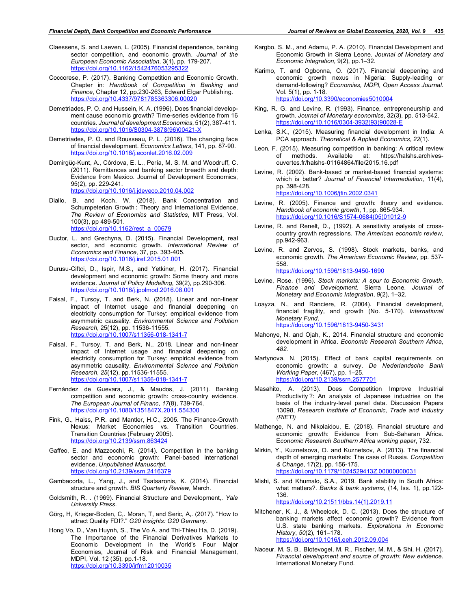- Claessens, S. and Laeven, L. (2005). Financial dependence, banking sector competition, and economic growth. *Journal of the European Economic Association*, 3(1), pp. 179-207. https://doi.org/10.1162/1542476053295322
- Coccorese, P. (2017). Banking Competition and Economic Growth. Chapter in: *Handbook of Competition in Banking and Finance*, Chapter 12, pp.230-263, Edward Elgar Publishing. https://doi.org/10.4337/9781785363306.00020
- Demetriades, P. O. and Hussein, K. A. (1996). Does financial development cause economic growth? Time-series evidence from 16 countries. *Journal of development Economics*, 51(2), 387-411. https://doi.org/10.1016/S0304-3878(96)00421-X
- Demetriades, P. O. and Rousseau, P. L. (2016). The changing face of financial development. *Economics Letters*, 141, pp. 87-90. https://doi.org/10.1016/j.econlet.2016.02.009
- Demirgüç-Kunt, A., Córdova, E. L., Pería, M. S. M. and Woodruff, C. (2011). Remittances and banking sector breadth and depth: Evidence from Mexico. Journal of Development Economics, 95(2), pp. 229-241. https://doi.org/10.1016/j.jdeveco.2010.04.002
- Diallo, B. and Koch, W. (2018). Bank Concentration and Schumpeterian Growth : Theory and International Evidence, *The Review of Economics and Statistics*, MIT Press, Vol. 100(3), pp 489-501. https://doi.org/10.1162/rest\_a\_00679
- Ductor, L. and Grechyna, D. (2015). Financial Development, real sector, and economic growth. *International Review of Economics and Finance*, 37, pp. 393-405. https://doi.org/10.1016/j.iref.2015.01.001
- Durusu-Ciftci, D., Ispir, M.S., and Yetkiner, H. (2017). Financial development and economic growth: Some theory and more evidence. *Journal of Policy Modelling*, 39(2), pp.290-306. https://doi.org/10.1016/j.jpolmod.2016.08.001
- Faisal, F., Tursoy, T. and Berk, N. (2018). Linear and non-linear impact of Internet usage and financial deepening on electricity consumption for Turkey: empirical evidence from asymmetric causality. *Environmental Science and Pollution Research*, 25(12), pp. 11536-11555. https://doi.org/10.1007/s11356-018-1341-7
- Faisal, F., Tursoy, T. and Berk, N., 2018. Linear and non-linear impact of Internet usage and financial deepening on electricity consumption for Turkey: empirical evidence from asymmetric causality. *Environmental Science and Pollution Research*, *25*(12), pp.11536-11555. https://doi.org/10.1007/s11356-018-1341-7
- Fernández de Guevara, J., & Maudos, J. (2011). Banking competition and economic growth: cross-country evidence. *The European Journal of Financ*, *17*(8), 739-764. https://doi.org/10.1080/1351847X.2011.554300
- Fink, G., Haiss, P.R. and Mantler, H.C., 2005. The Finance-Growth Nexus: Market Economies vs. Transition Countries. Transition Countries (February 2005). https://doi.org/10.2139/ssrn.863424
- Gaffeo, E. and Mazzocchi, R. (2014). Competition in the banking sector and economic growth: Panel-based international evidence. *Unpublished Manuscript*. https://doi.org/10.2139/ssrn.2416379
- Gambacorta, L., Yang, J., and Tsatsaronis, K. (2014). Financial structure and growth. *BIS Quarterly Review*, March.
- Goldsmith, R. . (1969). Financial Structure and Development,. *Yale University Press*.
- Görg, H, Krieger-Boden, C,. Moran, T, and Seric, A,. (2017). "How to attract Quality FDI?." *G20 Insights: G20 Germany*.
- Hong Vo, D., Van Huynh, S., The Vo A. and Thi-Thieu Ha, D. (2019). The Importance of the Financial Derivatives Markets to Economic Development in the World's Four Major Economies, Journal of Risk and Financial Management, MDPI, Vol. 12 (35), pp.1-18. https://doi.org/10.3390/jrfm12010035
- Kargbo, S. M., and Adamu, P. A. (2010). Financial Development and Economic Growth in Sierra Leone. *Journal of Monetary and Economic Integration*, 9(2), pp.1–32.
- Karimo, T. and Ogbonna, O. (2017). Financial deepening and economic growth nexus in Nigeria: Supply-leading or demand-following? *Economies, MDPI, Open Access Journal*. Vol. 5(1), pp. 1-18. https://doi.org/10.3390/economies5010004
- King, R. G. and Levine, R. (1993). Finance, entrepreneurship and growth. *Journal of Monetary economics*, 32(3), pp. 513-542. https://doi.org/10.1016/0304-3932(93)90028-E
- Lenka, S.K., (2015). Measuring financial development in India: A PCA approach. *Theoretical & Applied Economics*, *22*(1).
- Leon, F. (2015). Measuring competition in banking: A critical review<br>of methods. Available at: https://halshs.archives-Available at: https://halshs.archivesouvertes.fr/halshs-01164864/file/2015.16.pdf
- Levine, R. (2002). Bank-based or market-based financial systems: which is better? *Journal of Financial Intermediation*, 11(4), pp. 398-428. https://doi.org/10.1006/jfin.2002.0341
- Levine, R. (2005). Finance and growth: theory and evidence. *Handbook of economic growth*, 1, pp. 865-934. https://doi.org/10.1016/S1574-0684(05)01012-9
- Levine, R. and Renelt, D., (1992). A sensitivity analysis of crosscountry growth regressions. *The American economic review*, pp.942-963.
- Levine, R. and Zervos, S. (1998). Stock markets, banks, and economic growth. *The American Economic Review*, pp. 537- 558.

https://doi.org/10.1596/1813-9450-1690

- Levine, Rose. (1996). *Stock markets: A spur to Economic Growth*. *Finance and Development*. Sierra Leone. *Journal of Monetary and Economic Integration*, *9*(2), 1–32.
- Loayza, N., and Ranciere, R. (2004). Financial development, financial fragility, and growth (No. 5-170). *International Monetary Fund*. https://doi.org/10.1596/1813-9450-3431
- Mahonye, N. and Ojah, K., 2014. Financial structure and economic development in Africa. *Economic Research Southern Africa*, *482*.
- Martynova, N. (2015). Effect of bank capital requirements on economic growth: a survey. *De Nederlandsche Bank Working Paper*, (467), pp. 1–25. https://doi.org/10.2139/ssrn.2577701
- Masahito, A. (2013). Does Competition Improve Industrial Productivity ?: An analysis of Japanese industries on the basis of the industry-level panel data. Discussion Papers 13098, *Research Institute of Economic, Trade and Industry (RIETI)*
- Mathenge, N. and Nikolaidou, E. (2018). Financial structure and economic growth: Evidence from Sub-Saharan Africa. E*conomic Research Southern Africa working paper*, 732.
- Mirkin, Y., Kuznetsova, O. and Kuznetsov, A. (2013). The financial depth of emerging markets: The case of Russia*. Competition & Change*, 17(2), pp. 156-175. https://doi.org/10.1179/1024529413Z.00000000031
- Mishi, S. and Khumalo, S.A., 2019. Bank stability in South Africa: what matters?. *Banks & bank systems*, (14, Iss. 1), pp.122- 136. https://doi.org/10.21511/bbs.14(1).2019.11
- Mitchener, K. J., & Wheelock, D. C. (2013). Does the structure of banking markets affect economic growth? Evidence from U.S. state banking markets. *Explorations in Economic History*, *50*(2), 161–178. https://doi.org/10.1016/j.eeh.2012.09.004
- Naceur, M. S. B., Blotevogel, M. R., Fischer, M. M., & Shi, H. (2017). *Financial development and source of growth: New evidence*. International Monetary Fund.